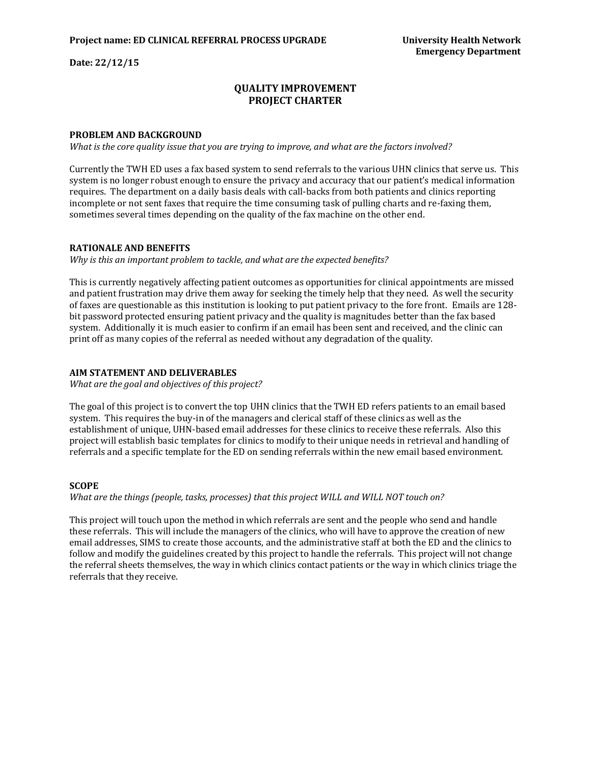**Date: 22/12/15**

# **QUALITY IMPROVEMENT PROJECT CHARTER**

## **PROBLEM AND BACKGROUND**

*What is the core quality issue that you are trying to improve, and what are the factors involved?*

Currently the TWH ED uses a fax based system to send referrals to the various UHN clinics that serve us. This system is no longer robust enough to ensure the privacy and accuracy that our patient's medical information requires. The department on a daily basis deals with call-backs from both patients and clinics reporting incomplete or not sent faxes that require the time consuming task of pulling charts and re-faxing them, sometimes several times depending on the quality of the fax machine on the other end.

#### **RATIONALE AND BENEFITS**

*Why is this an important problem to tackle, and what are the expected benefits?*

This is currently negatively affecting patient outcomes as opportunities for clinical appointments are missed and patient frustration may drive them away for seeking the timely help that they need. As well the security of faxes are questionable as this institution is looking to put patient privacy to the fore front. Emails are 128 bit password protected ensuring patient privacy and the quality is magnitudes better than the fax based system. Additionally it is much easier to confirm if an email has been sent and received, and the clinic can print off as many copies of the referral as needed without any degradation of the quality.

#### **AIM STATEMENT AND DELIVERABLES**

*What are the goal and objectives of this project?*

The goal of this project is to convert the top UHN clinics that the TWH ED refers patients to an email based system. This requires the buy-in of the managers and clerical staff of these clinics as well as the establishment of unique, UHN-based email addresses for these clinics to receive these referrals. Also this project will establish basic templates for clinics to modify to their unique needs in retrieval and handling of referrals and a specific template for the ED on sending referrals within the new email based environment.

#### **SCOPE**

*What are the things (people, tasks, processes) that this project WILL and WILL NOT touch on?*

This project will touch upon the method in which referrals are sent and the people who send and handle these referrals. This will include the managers of the clinics, who will have to approve the creation of new email addresses, SIMS to create those accounts, and the administrative staff at both the ED and the clinics to follow and modify the guidelines created by this project to handle the referrals. This project will not change the referral sheets themselves, the way in which clinics contact patients or the way in which clinics triage the referrals that they receive.